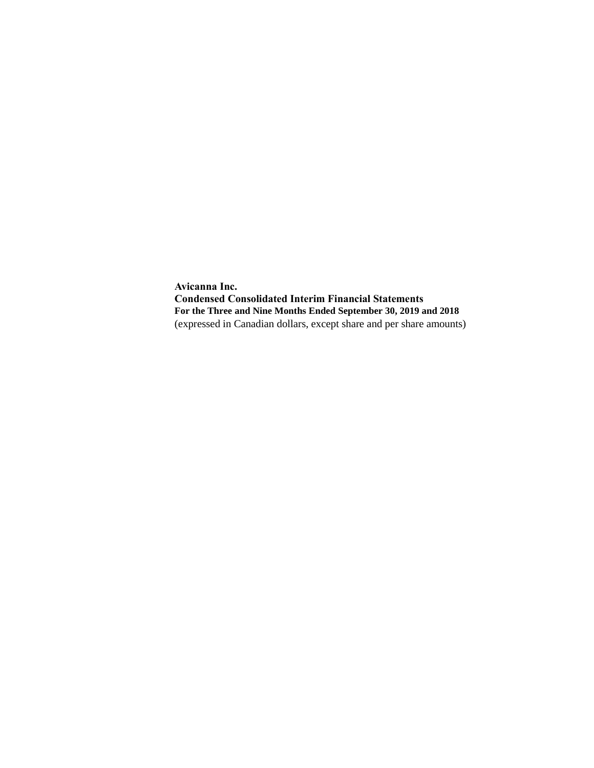**Avicanna Inc. Condensed Consolidated Interim Financial Statements For the Three and Nine Months Ended September 30, 2019 and 2018** (expressed in Canadian dollars, except share and per share amounts)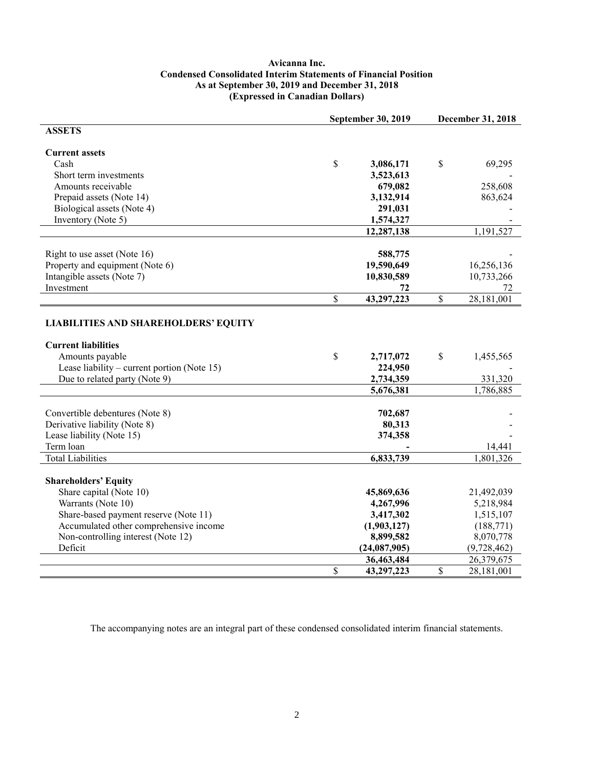## **Avicanna Inc. Condensed Consolidated Interim Statements of Financial Position As at September 30, 2019 and December 31, 2018 (Expressed in Canadian Dollars)**

| <b>ASSETS</b><br><b>Current assets</b><br>\$<br>$\$$<br>Cash<br>3,086,171<br>69,295<br>Short term investments<br>3,523,613<br>Amounts receivable<br>679,082<br>258,608<br>Prepaid assets (Note 14)<br>3,132,914<br>863,624<br>Biological assets (Note 4)<br>291,031<br>Inventory (Note 5)<br>1,574,327<br>12,287,138<br>1,191,527<br>588,775<br>Right to use asset (Note 16)<br>Property and equipment (Note 6)<br>19,590,649<br>16,256,136 |
|---------------------------------------------------------------------------------------------------------------------------------------------------------------------------------------------------------------------------------------------------------------------------------------------------------------------------------------------------------------------------------------------------------------------------------------------|
|                                                                                                                                                                                                                                                                                                                                                                                                                                             |
|                                                                                                                                                                                                                                                                                                                                                                                                                                             |
|                                                                                                                                                                                                                                                                                                                                                                                                                                             |
|                                                                                                                                                                                                                                                                                                                                                                                                                                             |
|                                                                                                                                                                                                                                                                                                                                                                                                                                             |
|                                                                                                                                                                                                                                                                                                                                                                                                                                             |
|                                                                                                                                                                                                                                                                                                                                                                                                                                             |
|                                                                                                                                                                                                                                                                                                                                                                                                                                             |
|                                                                                                                                                                                                                                                                                                                                                                                                                                             |
|                                                                                                                                                                                                                                                                                                                                                                                                                                             |
|                                                                                                                                                                                                                                                                                                                                                                                                                                             |
|                                                                                                                                                                                                                                                                                                                                                                                                                                             |
|                                                                                                                                                                                                                                                                                                                                                                                                                                             |
| Intangible assets (Note 7)<br>10,830,589<br>10,733,266                                                                                                                                                                                                                                                                                                                                                                                      |
| Investment<br>72<br>72                                                                                                                                                                                                                                                                                                                                                                                                                      |
| \$<br>43,297,223<br>\$<br>28,181,001                                                                                                                                                                                                                                                                                                                                                                                                        |
|                                                                                                                                                                                                                                                                                                                                                                                                                                             |
| <b>LIABILITIES AND SHAREHOLDERS' EQUITY</b>                                                                                                                                                                                                                                                                                                                                                                                                 |
|                                                                                                                                                                                                                                                                                                                                                                                                                                             |
| <b>Current liabilities</b>                                                                                                                                                                                                                                                                                                                                                                                                                  |
| $\mathbf S$<br>Amounts payable<br>2,717,072<br>\$<br>1,455,565                                                                                                                                                                                                                                                                                                                                                                              |
| Lease liability – current portion (Note 15)<br>224,950                                                                                                                                                                                                                                                                                                                                                                                      |
| 2,734,359<br>Due to related party (Note 9)<br>331,320                                                                                                                                                                                                                                                                                                                                                                                       |
| 1,786,885<br>5,676,381                                                                                                                                                                                                                                                                                                                                                                                                                      |
|                                                                                                                                                                                                                                                                                                                                                                                                                                             |
| Convertible debentures (Note 8)<br>702,687                                                                                                                                                                                                                                                                                                                                                                                                  |
| Derivative liability (Note 8)<br>80,313                                                                                                                                                                                                                                                                                                                                                                                                     |
| Lease liability (Note 15)<br>374,358                                                                                                                                                                                                                                                                                                                                                                                                        |
| Term loan<br>14,441                                                                                                                                                                                                                                                                                                                                                                                                                         |
| <b>Total Liabilities</b><br>1,801,326<br>6,833,739                                                                                                                                                                                                                                                                                                                                                                                          |
|                                                                                                                                                                                                                                                                                                                                                                                                                                             |
| <b>Shareholders' Equity</b>                                                                                                                                                                                                                                                                                                                                                                                                                 |
| Share capital (Note 10)<br>21,492,039<br>45,869,636                                                                                                                                                                                                                                                                                                                                                                                         |
| Warrants (Note 10)<br>4,267,996<br>5,218,984                                                                                                                                                                                                                                                                                                                                                                                                |
| Share-based payment reserve (Note 11)<br>3,417,302<br>1,515,107                                                                                                                                                                                                                                                                                                                                                                             |
| Accumulated other comprehensive income<br>(1,903,127)<br>(188, 771)                                                                                                                                                                                                                                                                                                                                                                         |
| Non-controlling interest (Note 12)<br>8,899,582<br>8,070,778                                                                                                                                                                                                                                                                                                                                                                                |
| Deficit<br>(24,087,905)<br>(9,728,462)                                                                                                                                                                                                                                                                                                                                                                                                      |
| 36,463,484<br>26,379,675                                                                                                                                                                                                                                                                                                                                                                                                                    |
| \$<br>43,297,223<br>\$<br>28,181,001                                                                                                                                                                                                                                                                                                                                                                                                        |

The accompanying notes are an integral part of these condensed consolidated interim financial statements.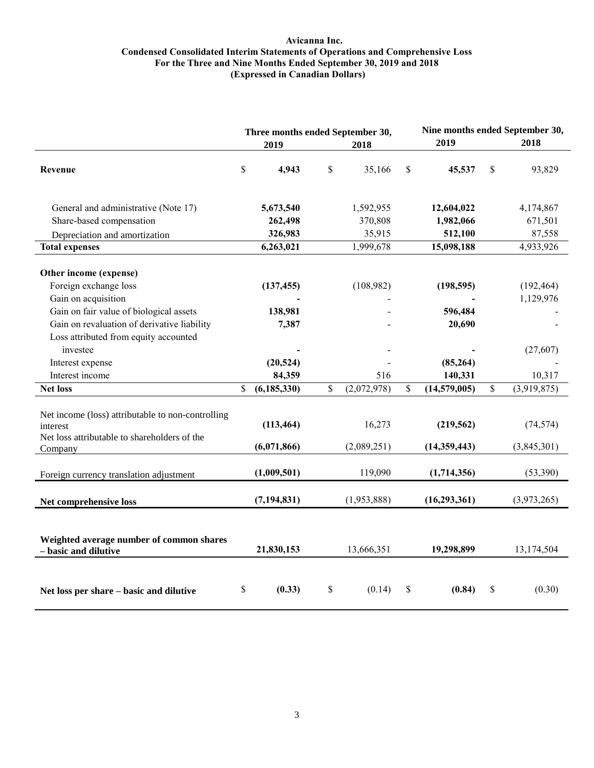#### **Avicanna Inc. Condensed Consolidated Interim Statements of Operations and Comprehensive Loss For the Three and Nine Months Ended September 30, 2019 and 2018 (Expressed in Canadian Dollars)**

|                                                                                                                                                                                                                                                                                 | Three months ended September 30, |                                                                        |             | Nine months ended September 30, |    |                                                                         |    |                                                              |
|---------------------------------------------------------------------------------------------------------------------------------------------------------------------------------------------------------------------------------------------------------------------------------|----------------------------------|------------------------------------------------------------------------|-------------|---------------------------------|----|-------------------------------------------------------------------------|----|--------------------------------------------------------------|
|                                                                                                                                                                                                                                                                                 |                                  | 2019                                                                   |             | 2018                            |    | 2019                                                                    |    | 2018                                                         |
| Revenue                                                                                                                                                                                                                                                                         | \$                               | 4,943                                                                  | \$          | 35,166                          | \$ | 45,537                                                                  | \$ | 93,829                                                       |
| General and administrative (Note 17)<br>Share-based compensation                                                                                                                                                                                                                |                                  | 5,673,540<br>262,498                                                   |             | 1,592,955<br>370,808            |    | 12,604,022<br>1,982,066                                                 |    | 4,174,867<br>671,501                                         |
| Depreciation and amortization                                                                                                                                                                                                                                                   |                                  | 326,983                                                                |             | 35,915                          |    | 512,100                                                                 |    | 87,558                                                       |
| <b>Total expenses</b>                                                                                                                                                                                                                                                           |                                  | 6,263,021                                                              |             | 1,999,678                       |    | 15,098,188                                                              |    | 4,933,926                                                    |
| Other income (expense)<br>Foreign exchange loss<br>Gain on acquisition<br>Gain on fair value of biological assets<br>Gain on revaluation of derivative liability<br>Loss attributed from equity accounted<br>investee<br>Interest expense<br>Interest income<br><b>Net loss</b> | \$                               | (137, 455)<br>138,981<br>7,387<br>(20, 524)<br>84,359<br>(6, 185, 330) | $\mathbf S$ | (108,982)<br>516<br>(2,072,978) | \$ | (198, 595)<br>596,484<br>20,690<br>(85, 264)<br>140,331<br>(14,579,005) | \$ | (192, 464)<br>1,129,976<br>(27,607)<br>10,317<br>(3,919,875) |
| Net income (loss) attributable to non-controlling<br>interest<br>Net loss attributable to shareholders of the<br>Company                                                                                                                                                        |                                  | (113, 464)<br>(6,071,866)                                              |             | 16,273<br>(2,089,251)           |    | (219, 562)<br>(14,359,443)                                              |    | (74, 574)<br>(3,845,301)                                     |
| Foreign currency translation adjustment                                                                                                                                                                                                                                         |                                  | (1,009,501)                                                            |             | 119,090                         |    | (1,714,356)                                                             |    | (53,390)                                                     |
| Net comprehensive loss                                                                                                                                                                                                                                                          |                                  | (7, 194, 831)                                                          |             | (1,953,888)                     |    | (16, 293, 361)                                                          |    | (3,973,265)                                                  |
| Weighted average number of common shares<br>- basic and dilutive                                                                                                                                                                                                                |                                  | 21,830,153                                                             |             | 13,666,351                      |    | 19,298,899                                                              |    | 13,174,504                                                   |
| Net loss per share - basic and dilutive                                                                                                                                                                                                                                         | \$                               | (0.33)                                                                 | \$          | (0.14)                          | \$ | (0.84)                                                                  | \$ | (0.30)                                                       |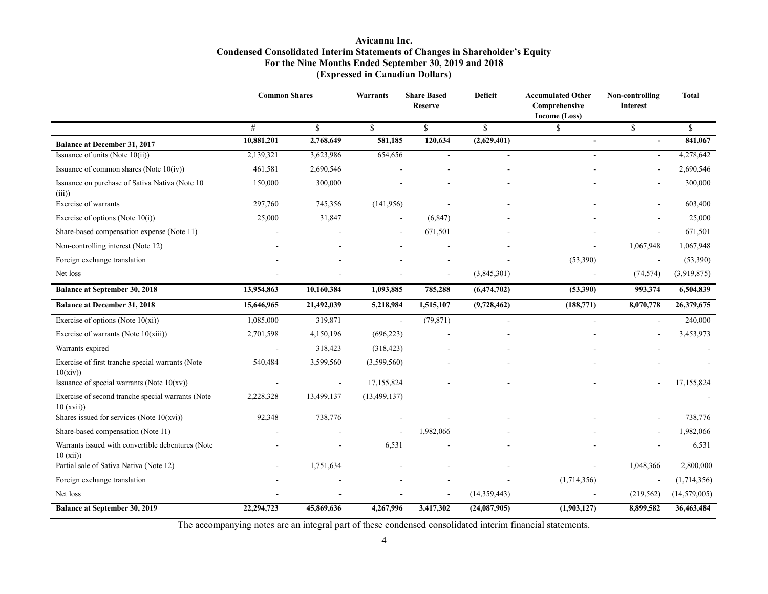## **Avicanna Inc. Condensed Consolidated Interim Statements of Changes in Shareholder's Equity For the Nine Months Ended September 30, 2019 and 2018 (Expressed in Canadian Dollars)**

|                                                               | <b>Common Shares</b>     |                          | Warrants       | <b>Share Based</b><br><b>Reserve</b> | <b>Deficit</b>           | <b>Accumulated Other</b><br>Comprehensive<br>Income (Loss) | Non-controlling<br><b>Interest</b> | <b>Total</b> |
|---------------------------------------------------------------|--------------------------|--------------------------|----------------|--------------------------------------|--------------------------|------------------------------------------------------------|------------------------------------|--------------|
|                                                               | #                        | \$                       | $\mathbf S$    | \$                                   | \$                       | \$                                                         | \$                                 | \$           |
| <b>Balance at December 31, 2017</b>                           | 10,881,201               | 2,768,649                | 581,185        | 120,634                              | (2,629,401)              | $\overline{\phantom{a}}$                                   | ÷,                                 | 841,067      |
| Issuance of units (Note 10(ii))                               | 2,139,321                | 3,623,986                | 654,656        | $\overline{a}$                       |                          | L,                                                         | $\overline{\phantom{a}}$           | 4,278,642    |
| Issuance of common shares (Note $10(iv)$ )                    | 461,581                  | 2,690,546                |                |                                      |                          |                                                            |                                    | 2,690,546    |
| Issuance on purchase of Sativa Nativa (Note 10<br>(iii)       | 150,000                  | 300,000                  |                |                                      |                          |                                                            | $\blacksquare$                     | 300,000      |
| Exercise of warrants                                          | 297,760                  | 745,356                  | (141,956)      |                                      |                          |                                                            |                                    | 603,400      |
| Exercise of options (Note $10(i)$ )                           | 25,000                   | 31,847                   |                | (6, 847)                             |                          |                                                            | $\overline{\phantom{a}}$           | 25,000       |
| Share-based compensation expense (Note 11)                    |                          |                          |                | 671,501                              |                          |                                                            |                                    | 671,501      |
| Non-controlling interest (Note 12)                            |                          |                          |                |                                      |                          |                                                            | 1,067,948                          | 1,067,948    |
| Foreign exchange translation                                  |                          |                          |                |                                      |                          | (53, 390)                                                  | $\overline{a}$                     | (53,390)     |
| Net loss                                                      |                          |                          |                |                                      | (3,845,301)              |                                                            | (74, 574)                          | (3,919,875)  |
| <b>Balance at September 30, 2018</b>                          | 13,954,863               | 10,160,384               | 1,093,885      | 785,288                              | (6, 474, 702)            | (53,390)                                                   | 993,374                            | 6,504,839    |
| <b>Balance at December 31, 2018</b>                           | 15,646,965               | 21,492,039               | 5,218,984      | 1,515,107                            | (9,728,462)              | (188, 771)                                                 | 8,070,778                          | 26,379,675   |
| Exercise of options (Note $10(xi)$ )                          | 1,085,000                | 319,871                  | $\sim$         | (79, 871)                            | $\overline{\phantom{a}}$ | ä,                                                         | $\overline{\phantom{a}}$           | 240,000      |
| Exercise of warrants (Note $10(xiii)$ )                       | 2,701,598                | 4,150,196                | (696, 223)     |                                      |                          |                                                            |                                    | 3,453,973    |
| Warrants expired                                              | $\blacksquare$           | 318,423                  | (318, 423)     |                                      |                          |                                                            |                                    |              |
| Exercise of first tranche special warrants (Note<br>10(xiv)   | 540,484                  | 3,599,560                | (3,599,560)    |                                      |                          |                                                            |                                    |              |
| Issuance of special warrants (Note $10(xv)$ )                 | $\overline{\phantom{a}}$ | $\overline{\phantom{a}}$ | 17,155,824     |                                      |                          |                                                            |                                    | 17,155,824   |
| Exercise of second tranche special warrants (Note<br>10(xvii) | 2,228,328                | 13,499,137               | (13, 499, 137) |                                      |                          |                                                            |                                    |              |
| Shares issued for services (Note $10(xvi)$ )                  | 92,348                   | 738,776                  |                |                                      |                          |                                                            | $\overline{\phantom{a}}$           | 738,776      |
| Share-based compensation (Note 11)                            |                          |                          |                | 1,982,066                            |                          |                                                            | $\overline{\phantom{a}}$           | 1,982,066    |
| Warrants issued with convertible debentures (Note<br>10(xii)  |                          | $\blacksquare$           | 6,531          |                                      |                          |                                                            | ÷,                                 | 6,531        |
| Partial sale of Sativa Nativa (Note 12)                       |                          | 1,751,634                |                |                                      |                          |                                                            | 1,048,366                          | 2,800,000    |
| Foreign exchange translation                                  |                          |                          |                |                                      |                          | (1,714,356)                                                | $\blacksquare$                     | (1,714,356)  |
| Net loss                                                      |                          |                          |                |                                      | (14, 359, 443)           |                                                            | (219, 562)                         | (14,579,005) |
| <b>Balance at September 30, 2019</b>                          | 22,294,723               | 45,869,636               | 4,267,996      | 3,417,302                            | (24,087,905)             | (1,903,127)                                                | 8,899,582                          | 36,463,484   |

The accompanying notes are an integral part of these condensed consolidated interim financial statements.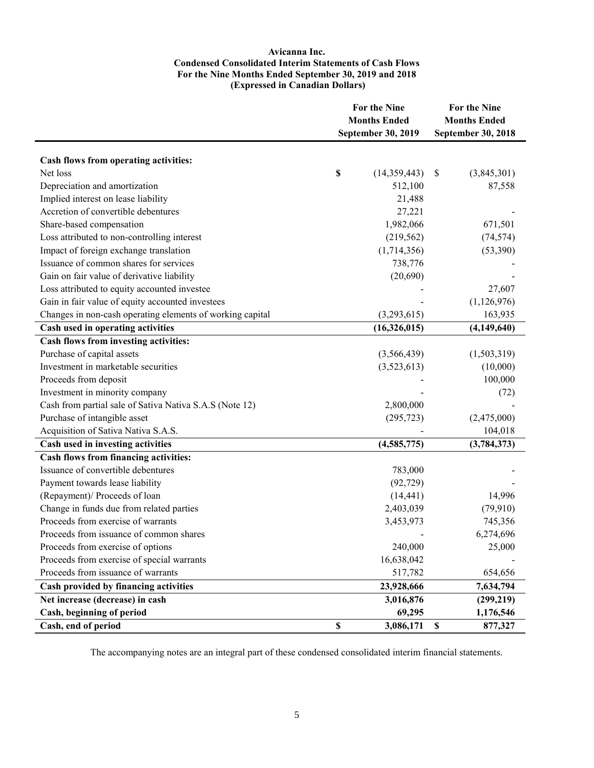#### **Avicanna Inc. Condensed Consolidated Interim Statements of Cash Flows For the Nine Months Ended September 30, 2019 and 2018 (Expressed in Canadian Dollars)**

|                                                           | <b>For the Nine</b><br><b>Months Ended</b> |                    |             | For the Nine        |  |  |  |
|-----------------------------------------------------------|--------------------------------------------|--------------------|-------------|---------------------|--|--|--|
|                                                           |                                            |                    |             | <b>Months Ended</b> |  |  |  |
|                                                           |                                            | September 30, 2019 |             | September 30, 2018  |  |  |  |
|                                                           |                                            |                    |             |                     |  |  |  |
| Cash flows from operating activities:                     |                                            |                    |             |                     |  |  |  |
| Net loss                                                  | \$                                         | (14, 359, 443)     | \$          | (3,845,301)         |  |  |  |
| Depreciation and amortization                             |                                            | 512,100            |             | 87,558              |  |  |  |
| Implied interest on lease liability                       |                                            | 21,488             |             |                     |  |  |  |
| Accretion of convertible debentures                       |                                            | 27,221             |             |                     |  |  |  |
| Share-based compensation                                  |                                            | 1,982,066          |             | 671,501             |  |  |  |
| Loss attributed to non-controlling interest               |                                            | (219, 562)         |             | (74, 574)           |  |  |  |
| Impact of foreign exchange translation                    |                                            | (1,714,356)        |             | (53,390)            |  |  |  |
| Issuance of common shares for services                    |                                            | 738,776            |             |                     |  |  |  |
| Gain on fair value of derivative liability                |                                            | (20,690)           |             |                     |  |  |  |
| Loss attributed to equity accounted investee              |                                            |                    |             | 27,607              |  |  |  |
| Gain in fair value of equity accounted investees          |                                            |                    |             | (1,126,976)         |  |  |  |
| Changes in non-cash operating elements of working capital |                                            | (3,293,615)        |             | 163,935             |  |  |  |
| Cash used in operating activities                         |                                            | (16,326,015)       |             | (4, 149, 640)       |  |  |  |
| Cash flows from investing activities:                     |                                            |                    |             |                     |  |  |  |
| Purchase of capital assets                                |                                            | (3,566,439)        |             | (1,503,319)         |  |  |  |
| Investment in marketable securities                       |                                            | (3,523,613)        |             | (10,000)            |  |  |  |
| Proceeds from deposit                                     |                                            |                    |             | 100,000             |  |  |  |
| Investment in minority company                            |                                            |                    |             | (72)                |  |  |  |
| Cash from partial sale of Sativa Nativa S.A.S (Note 12)   |                                            | 2,800,000          |             |                     |  |  |  |
| Purchase of intangible asset                              |                                            | (295, 723)         |             | (2,475,000)         |  |  |  |
| Acquisition of Sativa Nativa S.A.S.                       |                                            |                    |             | 104,018             |  |  |  |
| Cash used in investing activities                         |                                            | (4,585,775)        |             | (3,784,373)         |  |  |  |
| Cash flows from financing activities:                     |                                            |                    |             |                     |  |  |  |
| Issuance of convertible debentures                        |                                            | 783,000            |             |                     |  |  |  |
| Payment towards lease liability                           |                                            | (92, 729)          |             |                     |  |  |  |
| (Repayment)/ Proceeds of loan                             |                                            | (14, 441)          |             | 14,996              |  |  |  |
| Change in funds due from related parties                  |                                            | 2,403,039          |             | (79,910)            |  |  |  |
| Proceeds from exercise of warrants                        |                                            | 3,453,973          |             | 745,356             |  |  |  |
| Proceeds from issuance of common shares                   |                                            |                    |             | 6,274,696           |  |  |  |
| Proceeds from exercise of options                         |                                            | 240,000            |             | 25,000              |  |  |  |
| Proceeds from exercise of special warrants                |                                            | 16,638,042         |             |                     |  |  |  |
| Proceeds from issuance of warrants                        |                                            | 517,782            |             | 654,656             |  |  |  |
| Cash provided by financing activities                     |                                            | 23,928,666         |             | 7,634,794           |  |  |  |
| Net increase (decrease) in cash                           |                                            | 3,016,876          |             | (299, 219)          |  |  |  |
| Cash, beginning of period                                 |                                            | 69,295             |             | 1,176,546           |  |  |  |
| Cash, end of period                                       | $\boldsymbol{\mathsf{S}}$                  | 3,086,171          | $\mathbb S$ | 877,327             |  |  |  |

The accompanying notes are an integral part of these condensed consolidated interim financial statements.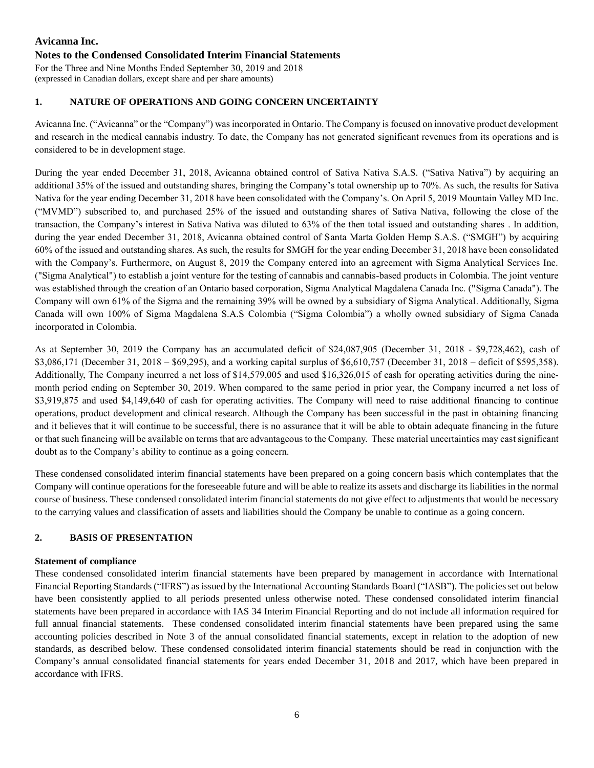# **Avicanna Inc. Notes to the Condensed Consolidated Interim Financial Statements**

For the Three and Nine Months Ended September 30, 2019 and 2018 (expressed in Canadian dollars, except share and per share amounts)

# **1. NATURE OF OPERATIONS AND GOING CONCERN UNCERTAINTY**

Avicanna Inc. ("Avicanna" or the "Company") was incorporated in Ontario. The Company is focused on innovative product development and research in the medical cannabis industry. To date, the Company has not generated significant revenues from its operations and is considered to be in development stage.

During the year ended December 31, 2018, Avicanna obtained control of Sativa Nativa S.A.S. ("Sativa Nativa") by acquiring an additional 35% of the issued and outstanding shares, bringing the Company's total ownership up to 70%. As such, the results for Sativa Nativa for the year ending December 31, 2018 have been consolidated with the Company's. On April 5, 2019 Mountain Valley MD Inc. ("MVMD") subscribed to, and purchased 25% of the issued and outstanding shares of Sativa Nativa, following the close of the transaction, the Company's interest in Sativa Nativa was diluted to 63% of the then total issued and outstanding shares . In addition, during the year ended December 31, 2018, Avicanna obtained control of Santa Marta Golden Hemp S.A.S. ("SMGH") by acquiring 60% of the issued and outstanding shares. As such, the results for SMGH for the year ending December 31, 2018 have been consolidated with the Company's. Furthermore, on August 8, 2019 the Company entered into an agreement with Sigma Analytical Services Inc. ("Sigma Analytical") to establish a joint venture for the testing of cannabis and cannabis-based products in Colombia. The joint venture was established through the creation of an Ontario based corporation, Sigma Analytical Magdalena Canada Inc. ("Sigma Canada"). The Company will own 61% of the Sigma and the remaining 39% will be owned by a subsidiary of Sigma Analytical. Additionally, Sigma Canada will own 100% of Sigma Magdalena S.A.S Colombia ("Sigma Colombia") a wholly owned subsidiary of Sigma Canada incorporated in Colombia.

As at September 30, 2019 the Company has an accumulated deficit of \$24,087,905 (December 31, 2018 - \$9,728,462), cash of \$3,086,171 (December 31, 2018 – \$69,295), and a working capital surplus of \$6,610,757 (December 31, 2018 – deficit of \$595,358). Additionally, The Company incurred a net loss of \$14,579,005 and used \$16,326,015 of cash for operating activities during the ninemonth period ending on September 30, 2019. When compared to the same period in prior year, the Company incurred a net loss of \$3,919,875 and used \$4,149,640 of cash for operating activities. The Company will need to raise additional financing to continue operations, product development and clinical research. Although the Company has been successful in the past in obtaining financing and it believes that it will continue to be successful, there is no assurance that it will be able to obtain adequate financing in the future or that such financing will be available on terms that are advantageous to the Company. These material uncertainties may cast significant doubt as to the Company's ability to continue as a going concern.

These condensed consolidated interim financial statements have been prepared on a going concern basis which contemplates that the Company will continue operations for the foreseeable future and will be able to realize its assets and discharge its liabilities in the normal course of business. These condensed consolidated interim financial statements do not give effect to adjustments that would be necessary to the carrying values and classification of assets and liabilities should the Company be unable to continue as a going concern.

# **2. BASIS OF PRESENTATION**

# **Statement of compliance**

These condensed consolidated interim financial statements have been prepared by management in accordance with International Financial Reporting Standards ("IFRS") as issued by the International Accounting Standards Board ("IASB"). The policies set out below have been consistently applied to all periods presented unless otherwise noted. These condensed consolidated interim financial statements have been prepared in accordance with IAS 34 Interim Financial Reporting and do not include all information required for full annual financial statements. These condensed consolidated interim financial statements have been prepared using the same accounting policies described in Note 3 of the annual consolidated financial statements, except in relation to the adoption of new standards, as described below. These condensed consolidated interim financial statements should be read in conjunction with the Company's annual consolidated financial statements for years ended December 31, 2018 and 2017, which have been prepared in accordance with IFRS.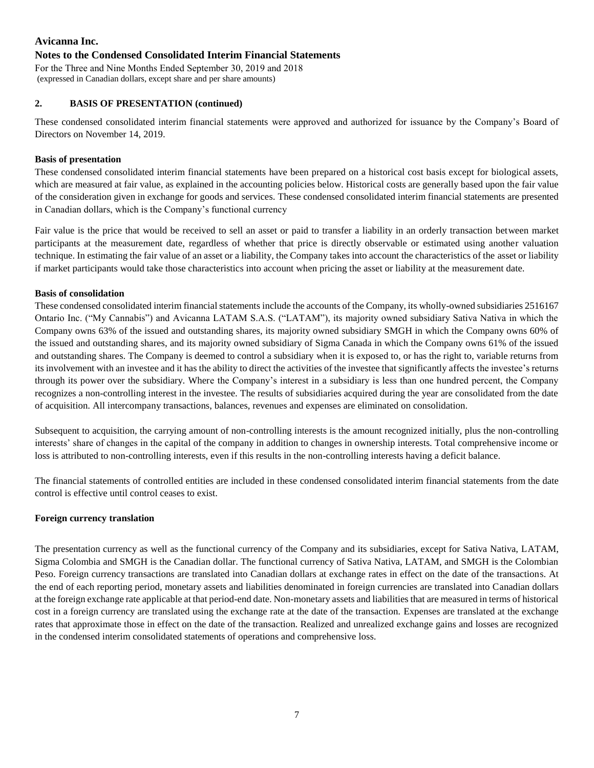## **Notes to the Condensed Consolidated Interim Financial Statements**

For the Three and Nine Months Ended September 30, 2019 and 2018 (expressed in Canadian dollars, except share and per share amounts)

## **2. BASIS OF PRESENTATION (continued)**

These condensed consolidated interim financial statements were approved and authorized for issuance by the Company's Board of Directors on November 14, 2019.

## **Basis of presentation**

These condensed consolidated interim financial statements have been prepared on a historical cost basis except for biological assets, which are measured at fair value, as explained in the accounting policies below. Historical costs are generally based upon the fair value of the consideration given in exchange for goods and services. These condensed consolidated interim financial statements are presented in Canadian dollars, which is the Company's functional currency

Fair value is the price that would be received to sell an asset or paid to transfer a liability in an orderly transaction between market participants at the measurement date, regardless of whether that price is directly observable or estimated using another valuation technique. In estimating the fair value of an asset or a liability, the Company takes into account the characteristics of the asset or liability if market participants would take those characteristics into account when pricing the asset or liability at the measurement date.

## **Basis of consolidation**

These condensed consolidated interim financial statements include the accounts of the Company, its wholly-owned subsidiaries 2516167 Ontario Inc. ("My Cannabis") and Avicanna LATAM S.A.S. ("LATAM"), its majority owned subsidiary Sativa Nativa in which the Company owns 63% of the issued and outstanding shares, its majority owned subsidiary SMGH in which the Company owns 60% of the issued and outstanding shares, and its majority owned subsidiary of Sigma Canada in which the Company owns 61% of the issued and outstanding shares. The Company is deemed to control a subsidiary when it is exposed to, or has the right to, variable returns from its involvement with an investee and it has the ability to direct the activities of the investee that significantly affects the investee's returns through its power over the subsidiary. Where the Company's interest in a subsidiary is less than one hundred percent, the Company recognizes a non-controlling interest in the investee. The results of subsidiaries acquired during the year are consolidated from the date of acquisition. All intercompany transactions, balances, revenues and expenses are eliminated on consolidation.

Subsequent to acquisition, the carrying amount of non-controlling interests is the amount recognized initially, plus the non-controlling interests' share of changes in the capital of the company in addition to changes in ownership interests. Total comprehensive income or loss is attributed to non-controlling interests, even if this results in the non-controlling interests having a deficit balance.

The financial statements of controlled entities are included in these condensed consolidated interim financial statements from the date control is effective until control ceases to exist.

#### **Foreign currency translation**

The presentation currency as well as the functional currency of the Company and its subsidiaries, except for Sativa Nativa, LATAM, Sigma Colombia and SMGH is the Canadian dollar. The functional currency of Sativa Nativa, LATAM, and SMGH is the Colombian Peso. Foreign currency transactions are translated into Canadian dollars at exchange rates in effect on the date of the transactions. At the end of each reporting period, monetary assets and liabilities denominated in foreign currencies are translated into Canadian dollars at the foreign exchange rate applicable at that period-end date. Non-monetary assets and liabilities that are measured in terms of historical cost in a foreign currency are translated using the exchange rate at the date of the transaction. Expenses are translated at the exchange rates that approximate those in effect on the date of the transaction. Realized and unrealized exchange gains and losses are recognized in the condensed interim consolidated statements of operations and comprehensive loss.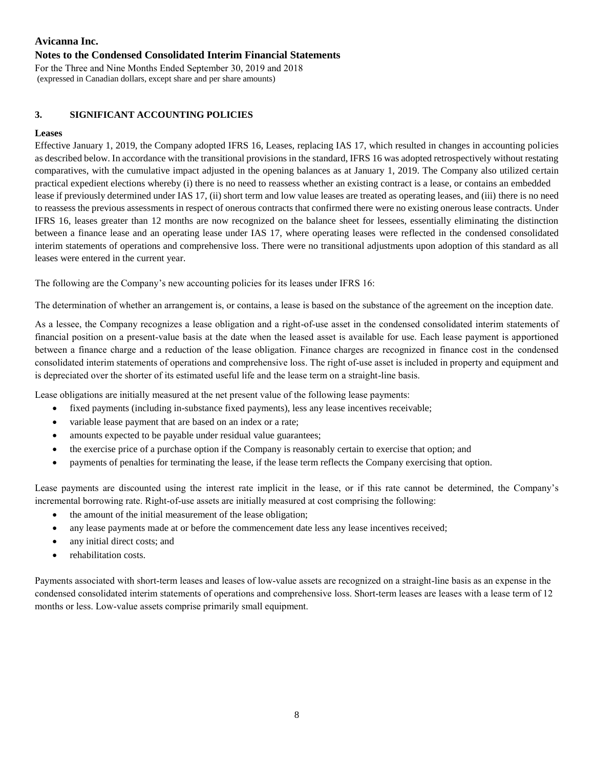## **Notes to the Condensed Consolidated Interim Financial Statements**

For the Three and Nine Months Ended September 30, 2019 and 2018 (expressed in Canadian dollars, except share and per share amounts)

# **3. SIGNIFICANT ACCOUNTING POLICIES**

## **Leases**

Effective January 1, 2019, the Company adopted IFRS 16, Leases, replacing IAS 17, which resulted in changes in accounting policies as described below. In accordance with the transitional provisions in the standard, IFRS 16 was adopted retrospectively without restating comparatives, with the cumulative impact adjusted in the opening balances as at January 1, 2019. The Company also utilized certain practical expedient elections whereby (i) there is no need to reassess whether an existing contract is a lease, or contains an embedded lease if previously determined under IAS 17, (ii) short term and low value leases are treated as operating leases, and (iii) there is no need to reassess the previous assessments in respect of onerous contracts that confirmed there were no existing onerous lease contracts. Under IFRS 16, leases greater than 12 months are now recognized on the balance sheet for lessees, essentially eliminating the distinction between a finance lease and an operating lease under IAS 17, where operating leases were reflected in the condensed consolidated interim statements of operations and comprehensive loss. There were no transitional adjustments upon adoption of this standard as all leases were entered in the current year.

The following are the Company's new accounting policies for its leases under IFRS 16:

The determination of whether an arrangement is, or contains, a lease is based on the substance of the agreement on the inception date.

As a lessee, the Company recognizes a lease obligation and a right-of-use asset in the condensed consolidated interim statements of financial position on a present-value basis at the date when the leased asset is available for use. Each lease payment is apportioned between a finance charge and a reduction of the lease obligation. Finance charges are recognized in finance cost in the condensed consolidated interim statements of operations and comprehensive loss. The right of-use asset is included in property and equipment and is depreciated over the shorter of its estimated useful life and the lease term on a straight-line basis.

Lease obligations are initially measured at the net present value of the following lease payments:

- fixed payments (including in-substance fixed payments), less any lease incentives receivable;
- variable lease payment that are based on an index or a rate;
- amounts expected to be payable under residual value guarantees;
- the exercise price of a purchase option if the Company is reasonably certain to exercise that option; and
- payments of penalties for terminating the lease, if the lease term reflects the Company exercising that option.

Lease payments are discounted using the interest rate implicit in the lease, or if this rate cannot be determined, the Company's incremental borrowing rate. Right-of-use assets are initially measured at cost comprising the following:

- the amount of the initial measurement of the lease obligation;
- any lease payments made at or before the commencement date less any lease incentives received;
- any initial direct costs; and
- rehabilitation costs.

Payments associated with short-term leases and leases of low-value assets are recognized on a straight-line basis as an expense in the condensed consolidated interim statements of operations and comprehensive loss. Short-term leases are leases with a lease term of 12 months or less. Low-value assets comprise primarily small equipment.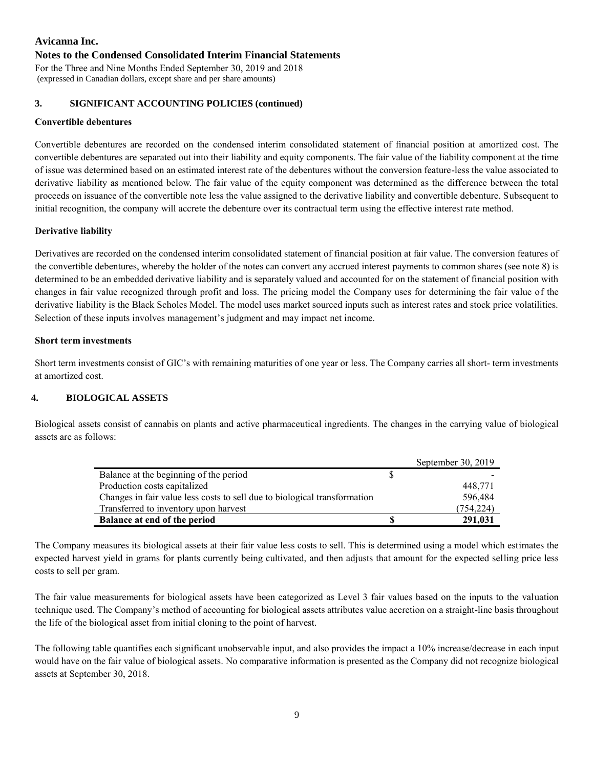#### **Notes to the Condensed Consolidated Interim Financial Statements**

For the Three and Nine Months Ended September 30, 2019 and 2018 (expressed in Canadian dollars, except share and per share amounts)

#### **3. SIGNIFICANT ACCOUNTING POLICIES (continued)**

#### **Convertible debentures**

Convertible debentures are recorded on the condensed interim consolidated statement of financial position at amortized cost. The convertible debentures are separated out into their liability and equity components. The fair value of the liability component at the time of issue was determined based on an estimated interest rate of the debentures without the conversion feature-less the value associated to derivative liability as mentioned below. The fair value of the equity component was determined as the difference between the total proceeds on issuance of the convertible note less the value assigned to the derivative liability and convertible debenture. Subsequent to initial recognition, the company will accrete the debenture over its contractual term using the effective interest rate method.

#### **Derivative liability**

Derivatives are recorded on the condensed interim consolidated statement of financial position at fair value. The conversion features of the convertible debentures, whereby the holder of the notes can convert any accrued interest payments to common shares (see note 8) is determined to be an embedded derivative liability and is separately valued and accounted for on the statement of financial position with changes in fair value recognized through profit and loss. The pricing model the Company uses for determining the fair value of the derivative liability is the Black Scholes Model. The model uses market sourced inputs such as interest rates and stock price volatilities. Selection of these inputs involves management's judgment and may impact net income.

#### **Short term investments**

Short term investments consist of GIC's with remaining maturities of one year or less. The Company carries all short- term investments at amortized cost.

#### **4. BIOLOGICAL ASSETS**

Biological assets consist of cannabis on plants and active pharmaceutical ingredients. The changes in the carrying value of biological assets are as follows:

|                                                                           | September 30, 2019 |
|---------------------------------------------------------------------------|--------------------|
| Balance at the beginning of the period                                    |                    |
| Production costs capitalized                                              | 448,771            |
| Changes in fair value less costs to sell due to biological transformation | 596,484            |
| Transferred to inventory upon harvest                                     | (754.224)          |
| <b>Balance at end of the period</b>                                       | 291,031            |

The Company measures its biological assets at their fair value less costs to sell. This is determined using a model which estimates the expected harvest yield in grams for plants currently being cultivated, and then adjusts that amount for the expected selling price less costs to sell per gram.

The fair value measurements for biological assets have been categorized as Level 3 fair values based on the inputs to the valuation technique used. The Company's method of accounting for biological assets attributes value accretion on a straight-line basis throughout the life of the biological asset from initial cloning to the point of harvest.

The following table quantifies each significant unobservable input, and also provides the impact a 10% increase/decrease in each input would have on the fair value of biological assets. No comparative information is presented as the Company did not recognize biological assets at September 30, 2018.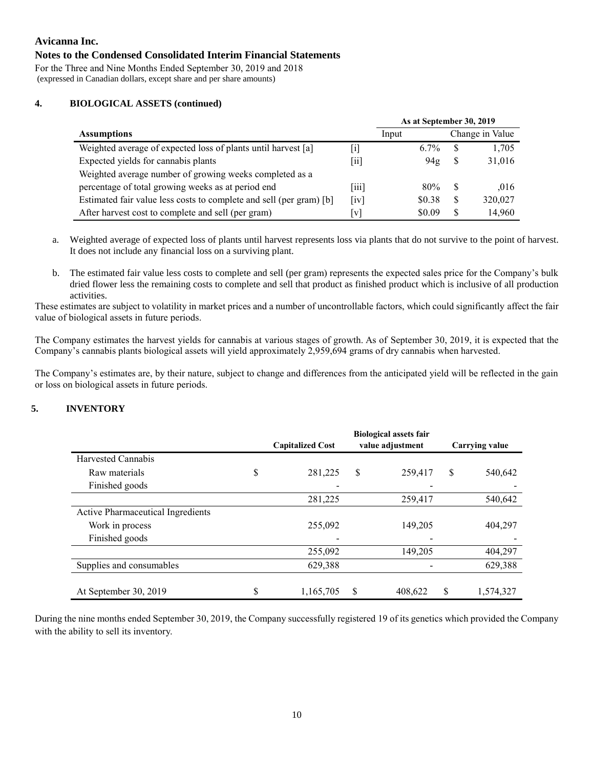## **Notes to the Condensed Consolidated Interim Financial Statements**

For the Three and Nine Months Ended September 30, 2019 and 2018 (expressed in Canadian dollars, except share and per share amounts)

#### **4. BIOLOGICAL ASSETS (continued)**

|                                                                     |                            | As at September 30, 2019 |                 |     |                 |
|---------------------------------------------------------------------|----------------------------|--------------------------|-----------------|-----|-----------------|
| <b>Assumptions</b>                                                  |                            | Input                    |                 |     | Change in Value |
| Weighted average of expected loss of plants until harvest [a]       | ΙiΙ                        | $6.7\%$                  |                 | S   | 1,705           |
| Expected yields for cannabis plants                                 | $\vert$ 11 $\vert$         |                          | 94 <sub>g</sub> | S   | 31,016          |
| Weighted average number of growing weeks completed as a             |                            |                          |                 |     |                 |
| percentage of total growing weeks as at period end                  | 111                        | 80%                      |                 | \$. | .016            |
| Estimated fair value less costs to complete and sell (per gram) [b] | $\left[\mathrm{iv}\right]$ | \$0.38                   |                 | S   | 320,027         |
| After harvest cost to complete and sell (per gram)                  | V                          | \$0.09                   |                 | S   | 14,960          |

- a. Weighted average of expected loss of plants until harvest represents loss via plants that do not survive to the point of harvest. It does not include any financial loss on a surviving plant.
- b. The estimated fair value less costs to complete and sell (per gram) represents the expected sales price for the Company's bulk dried flower less the remaining costs to complete and sell that product as finished product which is inclusive of all production activities.

These estimates are subject to volatility in market prices and a number of uncontrollable factors, which could significantly affect the fair value of biological assets in future periods.

The Company estimates the harvest yields for cannabis at various stages of growth. As of September 30, 2019, it is expected that the Company's cannabis plants biological assets will yield approximately 2,959,694 grams of dry cannabis when harvested.

The Company's estimates are, by their nature, subject to change and differences from the anticipated yield will be reflected in the gain or loss on biological assets in future periods.

# **5. INVENTORY**

|                                   |    | <b>Biological assets fair</b> |    |                  |    |                |  |  |  |
|-----------------------------------|----|-------------------------------|----|------------------|----|----------------|--|--|--|
|                                   |    | <b>Capitalized Cost</b>       |    | value adjustment |    | Carrying value |  |  |  |
| Harvested Cannabis                |    |                               |    |                  |    |                |  |  |  |
| Raw materials                     | \$ | 281,225                       | \$ | 259,417          | \$ | 540,642        |  |  |  |
| Finished goods                    |    |                               |    |                  |    |                |  |  |  |
|                                   |    | 281,225                       |    | 259,417          |    | 540,642        |  |  |  |
| Active Pharmaceutical Ingredients |    |                               |    |                  |    |                |  |  |  |
| Work in process                   |    | 255,092                       |    | 149,205          |    | 404,297        |  |  |  |
| Finished goods                    |    |                               |    |                  |    |                |  |  |  |
|                                   |    | 255,092                       |    | 149,205          |    | 404,297        |  |  |  |
| Supplies and consumables          |    | 629,388                       |    |                  |    | 629,388        |  |  |  |
|                                   |    |                               |    |                  |    |                |  |  |  |
| At September 30, 2019             | S  | 1,165,705                     | S  | 408.622          | \$ | 1,574,327      |  |  |  |

During the nine months ended September 30, 2019, the Company successfully registered 19 of its genetics which provided the Company with the ability to sell its inventory.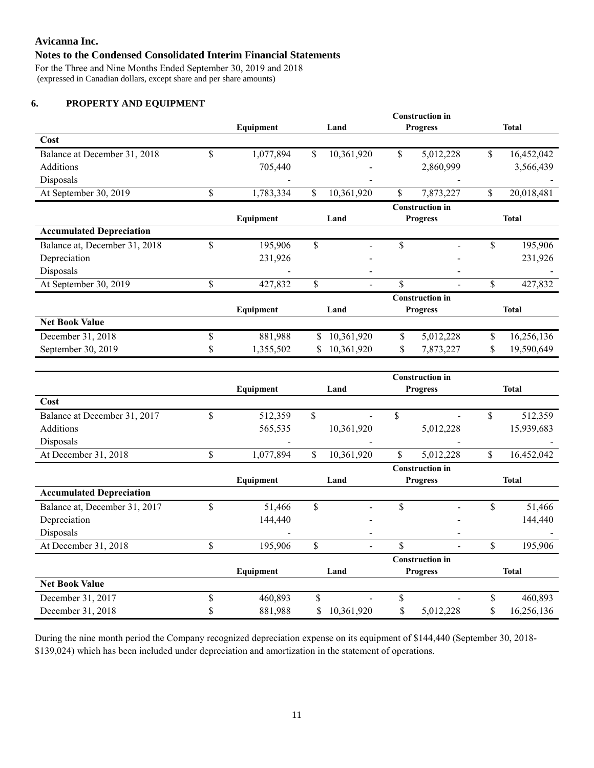# **Notes to the Condensed Consolidated Interim Financial Statements**

For the Three and Nine Months Ended September 30, 2019 and 2018 (expressed in Canadian dollars, except share and per share amounts)

# **6. PROPERTY AND EQUIPMENT**

|                                 |                 |                  | <b>Construction in</b>   |                  |
|---------------------------------|-----------------|------------------|--------------------------|------------------|
|                                 | Equipment       | Land             | <b>Progress</b>          | <b>Total</b>     |
| Cost                            |                 |                  |                          |                  |
| Balance at December 31, 2018    | \$<br>1,077,894 | \$<br>10,361,920 | \$<br>5,012,228          | \$<br>16,452,042 |
| Additions                       | 705,440         |                  | 2,860,999                | 3,566,439        |
| Disposals                       |                 |                  |                          |                  |
| At September 30, 2019           | \$<br>1,783,334 | \$<br>10,361,920 | \$<br>7,873,227          | \$<br>20,018,481 |
|                                 |                 |                  | <b>Construction in</b>   |                  |
|                                 | Equipment       | Land             | <b>Progress</b>          | <b>Total</b>     |
| <b>Accumulated Depreciation</b> |                 |                  |                          |                  |
| Balance at, December 31, 2018   | \$<br>195,906   | \$               | \$                       | \$<br>195,906    |
| Depreciation                    | 231,926         |                  |                          | 231,926          |
| Disposals                       |                 |                  | $\overline{\phantom{a}}$ |                  |
| At September 30, 2019           | \$<br>427,832   | \$               | \$                       | \$<br>427,832    |
|                                 |                 |                  | <b>Construction in</b>   |                  |
|                                 | Equipment       | Land             | <b>Progress</b>          | <b>Total</b>     |
| <b>Net Book Value</b>           |                 |                  |                          |                  |
| December 31, 2018               | \$<br>881,988   | \$<br>10,361,920 | \$<br>5,012,228          | \$<br>16,256,136 |
| September 30, 2019              | 1,355,502       | \$<br>10,361,920 | \$<br>7,873,227          | \$<br>19,590,649 |

|                                 |     | Equipment | Land             | <b>Progress</b>        |    | <b>Total</b> |
|---------------------------------|-----|-----------|------------------|------------------------|----|--------------|
| Cost                            |     |           |                  |                        |    |              |
| Balance at December 31, 2017    | \$  | 512,359   | \$               | \$                     | \$ | 512,359      |
| Additions                       |     | 565,535   | 10,361,920       | 5,012,228              |    | 15,939,683   |
| Disposals                       |     |           |                  |                        |    |              |
| At December 31, 2018            | \$  | 1,077,894 | \$<br>10,361,920 | \$<br>5,012,228        | \$ | 16,452,042   |
|                                 |     |           |                  | <b>Construction</b> in |    |              |
|                                 |     | Equipment | Land             | <b>Progress</b>        |    | <b>Total</b> |
| <b>Accumulated Depreciation</b> |     |           |                  |                        |    |              |
| Balance at, December 31, 2017   | \$  | 51,466    | \$               | \$                     | \$ | 51,466       |
| Depreciation                    |     | 144,440   |                  |                        |    | 144,440      |
| Disposals                       |     |           |                  |                        |    |              |
| At December 31, 2018            | \$  | 195,906   | \$               | \$                     | \$ | 195,906      |
|                                 |     |           |                  | <b>Construction in</b> |    |              |
|                                 |     | Equipment | Land             | <b>Progress</b>        |    | <b>Total</b> |
| <b>Net Book Value</b>           |     |           |                  |                        |    |              |
| December 31, 2017               | \$  | 460,893   | \$               | \$                     | \$ | 460,893      |
| December 31, 2018               | Jэ. | 881,988   | \$<br>10,361,920 | \$<br>5,012,228        | \$ | 16,256,136   |

During the nine month period the Company recognized depreciation expense on its equipment of \$144,440 (September 30, 2018- \$139,024) which has been included under depreciation and amortization in the statement of operations.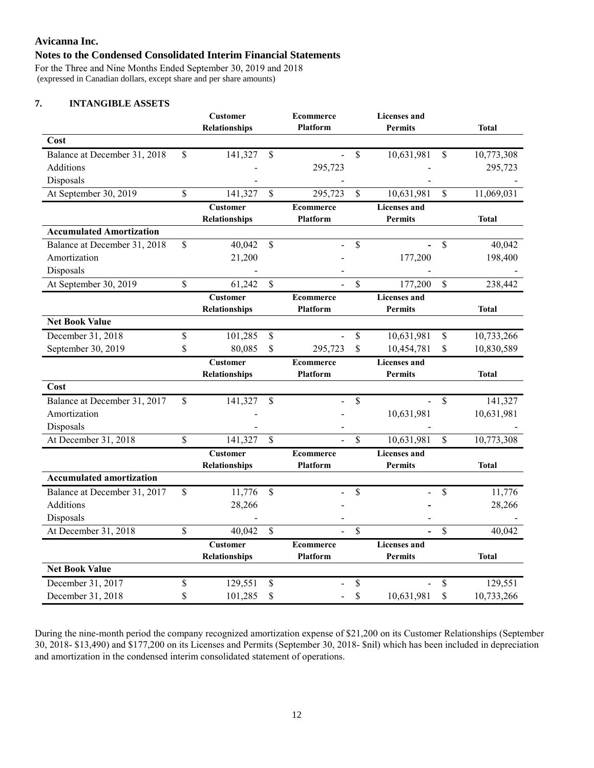## **Notes to the Condensed Consolidated Interim Financial Statements**

For the Three and Nine Months Ended September 30, 2019 and 2018 (expressed in Canadian dollars, except share and per share amounts)

# **7. INTANGIBLE ASSETS**

|                                           | <b>Customer</b><br><b>Relationships</b> |                  | <b>Ecommerce</b><br><b>Platform</b> |          | <b>Licenses and</b><br><b>Permits</b> |               | <b>Total</b>          |
|-------------------------------------------|-----------------------------------------|------------------|-------------------------------------|----------|---------------------------------------|---------------|-----------------------|
| Cost                                      |                                         |                  |                                     |          |                                       |               |                       |
| Balance at December 31, 2018<br>Additions | \$<br>141,327                           | \$               | $\overline{a}$<br>295,723           | \$       | 10,631,981                            | \$            | 10,773,308<br>295,723 |
| Disposals                                 |                                         |                  |                                     |          |                                       |               |                       |
| At September 30, 2019                     | \$<br>141,327                           | \$               | 295,723                             | \$       | 10,631,981                            | \$            | 11,069,031            |
|                                           | <b>Customer</b>                         |                  | <b>Ecommerce</b>                    |          | <b>Licenses</b> and                   |               |                       |
|                                           | <b>Relationships</b>                    |                  | <b>Platform</b>                     |          | Permits                               |               | <b>Total</b>          |
| <b>Accumulated Amortization</b>           |                                         |                  |                                     |          |                                       |               |                       |
| Balance at December 31, 2018              | \$<br>40,042                            | \$               |                                     | \$       |                                       | \$            | 40,042                |
| Amortization                              | 21,200                                  |                  |                                     |          | 177,200                               |               | 198,400               |
| Disposals                                 |                                         |                  |                                     |          |                                       |               |                       |
| At September 30, 2019                     | \$<br>61,242                            | \$               |                                     | \$       | 177,200                               | \$            | 238,442               |
|                                           | <b>Customer</b><br><b>Relationships</b> |                  | <b>Ecommerce</b><br><b>Platform</b> |          | <b>Licenses</b> and<br><b>Permits</b> |               | <b>Total</b>          |
| <b>Net Book Value</b>                     |                                         |                  |                                     |          |                                       |               |                       |
| December 31, 2018                         | \$<br>101,285                           | \$               |                                     | $\$$     | 10,631,981                            | $\$$          | 10,733,266            |
| September 30, 2019                        | \$<br>80,085                            | \$               | 295,723                             | \$       | 10,454,781                            | \$            | 10,830,589            |
|                                           | <b>Customer</b>                         | <b>Ecommerce</b> |                                     |          | <b>Licenses</b> and                   |               |                       |
|                                           |                                         |                  |                                     |          |                                       |               |                       |
|                                           | <b>Relationships</b>                    |                  | <b>Platform</b>                     |          | <b>Permits</b>                        |               | <b>Total</b>          |
| Cost                                      |                                         |                  |                                     |          |                                       |               |                       |
| Balance at December 31, 2017              | \$<br>141,327                           | \$               |                                     | \$       |                                       | $\mathsf{\$}$ | 141,327               |
| Amortization                              |                                         |                  |                                     |          | 10,631,981                            |               | 10,631,981            |
| Disposals                                 |                                         |                  |                                     |          |                                       |               |                       |
| At December 31, 2018                      | \$<br>141,327                           | \$               |                                     | \$       | 10,631,981                            | \$            | 10,773,308            |
|                                           | <b>Customer</b>                         |                  | <b>Ecommerce</b>                    |          | <b>Licenses</b> and                   |               |                       |
|                                           | <b>Relationships</b>                    |                  | <b>Platform</b>                     |          | <b>Permits</b>                        |               | <b>Total</b>          |
| <b>Accumulated amortization</b>           |                                         |                  |                                     |          |                                       |               |                       |
| Balance at December 31, 2017              | \$<br>11,776                            | \$               |                                     | \$       |                                       | \$            | 11,776                |
| Additions                                 | 28,266                                  |                  |                                     |          |                                       |               | 28,266                |
| Disposals<br>At December 31, 2018         | \$<br>40,042                            | \$               |                                     | \$       |                                       | \$            | 40,042                |
|                                           | <b>Customer</b>                         |                  | <b>Ecommerce</b>                    |          | <b>Licenses</b> and                   |               |                       |
|                                           | Relationships                           |                  | <b>Platform</b>                     |          | <b>Permits</b>                        |               | <b>Total</b>          |
| <b>Net Book Value</b>                     |                                         |                  |                                     |          |                                       |               |                       |
| December 31, 2017<br>December 31, 2018    | \$<br>129,551<br>101,285                | \$               |                                     | \$<br>\$ | 10,631,981                            | \$<br>\$      | 129,551<br>10,733,266 |

During the nine-month period the company recognized amortization expense of \$21,200 on its Customer Relationships (September 30, 2018- \$13,490) and \$177,200 on its Licenses and Permits (September 30, 2018- \$nil) which has been included in depreciation and amortization in the condensed interim consolidated statement of operations.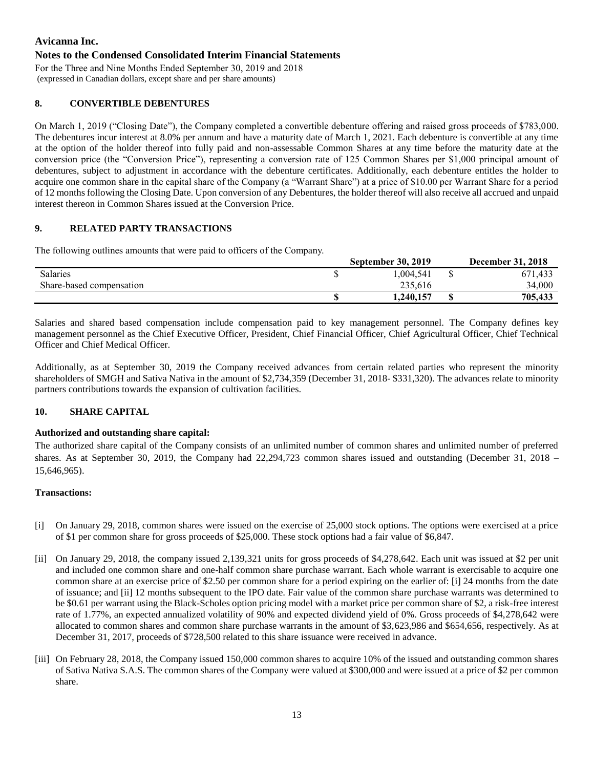## **Notes to the Condensed Consolidated Interim Financial Statements**

For the Three and Nine Months Ended September 30, 2019 and 2018 (expressed in Canadian dollars, except share and per share amounts)

## **8. CONVERTIBLE DEBENTURES**

On March 1, 2019 ("Closing Date"), the Company completed a convertible debenture offering and raised gross proceeds of \$783,000. The debentures incur interest at 8.0% per annum and have a maturity date of March 1, 2021. Each debenture is convertible at any time at the option of the holder thereof into fully paid and non-assessable Common Shares at any time before the maturity date at the conversion price (the "Conversion Price"), representing a conversion rate of 125 Common Shares per \$1,000 principal amount of debentures, subject to adjustment in accordance with the debenture certificates. Additionally, each debenture entitles the holder to acquire one common share in the capital share of the Company (a "Warrant Share") at a price of \$10.00 per Warrant Share for a period of 12 months following the Closing Date. Upon conversion of any Debentures, the holder thereof will also receive all accrued and unpaid interest thereon in Common Shares issued at the Conversion Price.

#### **9. RELATED PARTY TRANSACTIONS**

The following outlines amounts that were paid to officers of the Company.

|                          | <b>September 30, 2019</b> | <b>December 31, 2018</b> |
|--------------------------|---------------------------|--------------------------|
| <b>Salaries</b>          | 1.004.541                 | 671,433                  |
| Share-based compensation | 235.616                   | 34,000                   |
|                          | 1,240,157                 | 705,433                  |

Salaries and shared based compensation include compensation paid to key management personnel. The Company defines key management personnel as the Chief Executive Officer, President, Chief Financial Officer, Chief Agricultural Officer, Chief Technical Officer and Chief Medical Officer.

Additionally, as at September 30, 2019 the Company received advances from certain related parties who represent the minority shareholders of SMGH and Sativa Nativa in the amount of \$2,734,359 (December 31, 2018- \$331,320). The advances relate to minority partners contributions towards the expansion of cultivation facilities.

## **10. SHARE CAPITAL**

#### **Authorized and outstanding share capital:**

The authorized share capital of the Company consists of an unlimited number of common shares and unlimited number of preferred shares. As at September 30, 2019, the Company had 22,294,723 common shares issued and outstanding (December 31, 2018 – 15,646,965).

#### **Transactions:**

- [i] On January 29, 2018, common shares were issued on the exercise of 25,000 stock options. The options were exercised at a price of \$1 per common share for gross proceeds of \$25,000. These stock options had a fair value of \$6,847.
- [ii] On January 29, 2018, the company issued 2,139,321 units for gross proceeds of \$4,278,642. Each unit was issued at \$2 per unit and included one common share and one-half common share purchase warrant. Each whole warrant is exercisable to acquire one common share at an exercise price of \$2.50 per common share for a period expiring on the earlier of: [i] 24 months from the date of issuance; and [ii] 12 months subsequent to the IPO date. Fair value of the common share purchase warrants was determined to be \$0.61 per warrant using the Black-Scholes option pricing model with a market price per common share of \$2, a risk-free interest rate of 1.77%, an expected annualized volatility of 90% and expected dividend yield of 0%. Gross proceeds of \$4,278,642 were allocated to common shares and common share purchase warrants in the amount of \$3,623,986 and \$654,656, respectively. As at December 31, 2017, proceeds of \$728,500 related to this share issuance were received in advance.
- [iii] On February 28, 2018, the Company issued 150,000 common shares to acquire 10% of the issued and outstanding common shares of Sativa Nativa S.A.S. The common shares of the Company were valued at \$300,000 and were issued at a price of \$2 per common share.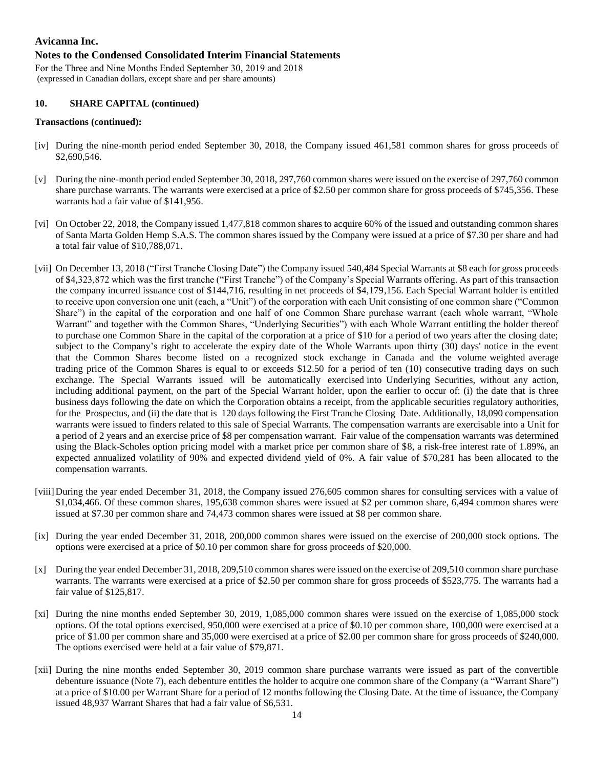#### **Notes to the Condensed Consolidated Interim Financial Statements**

For the Three and Nine Months Ended September 30, 2019 and 2018 (expressed in Canadian dollars, except share and per share amounts)

#### **10. SHARE CAPITAL (continued)**

#### **Transactions (continued):**

- [iv] During the nine-month period ended September 30, 2018, the Company issued 461,581 common shares for gross proceeds of \$2,690,546.
- [v] During the nine-month period ended September 30, 2018, 297,760 common shares were issued on the exercise of 297,760 common share purchase warrants. The warrants were exercised at a price of \$2.50 per common share for gross proceeds of \$745,356. These warrants had a fair value of \$141,956.
- [vi] On October 22, 2018, the Company issued 1,477,818 common shares to acquire 60% of the issued and outstanding common shares of Santa Marta Golden Hemp S.A.S. The common shares issued by the Company were issued at a price of \$7.30 per share and had a total fair value of \$10,788,071.
- [vii] On December 13, 2018 ("First Tranche Closing Date") the Company issued 540,484 Special Warrants at \$8 each for gross proceeds of \$4,323,872 which was the first tranche ("First Tranche") of the Company's Special Warrants offering. As part of this transaction the company incurred issuance cost of \$144,716, resulting in net proceeds of \$4,179,156. Each Special Warrant holder is entitled to receive upon conversion one unit (each, a "Unit") of the corporation with each Unit consisting of one common share ("Common Share") in the capital of the corporation and one half of one Common Share purchase warrant (each whole warrant, "Whole Warrant" and together with the Common Shares, "Underlying Securities") with each Whole Warrant entitling the holder thereof to purchase one Common Share in the capital of the corporation at a price of \$10 for a period of two years after the closing date; subject to the Company's right to accelerate the expiry date of the Whole Warrants upon thirty (30) days' notice in the event that the Common Shares become listed on a recognized stock exchange in Canada and the volume weighted average trading price of the Common Shares is equal to or exceeds \$12.50 for a period of ten (10) consecutive trading days on such exchange. The Special Warrants issued will be automatically exercised into Underlying Securities, without any action, including additional payment, on the part of the Special Warrant holder, upon the earlier to occur of: (i) the date that is three business days following the date on which the Corporation obtains a receipt, from the applicable securities regulatory authorities, for the Prospectus, and (ii) the date that is 120 days following the First Tranche Closing Date. Additionally, 18,090 compensation warrants were issued to finders related to this sale of Special Warrants. The compensation warrants are exercisable into a Unit for a period of 2 years and an exercise price of \$8 per compensation warrant. Fair value of the compensation warrants was determined using the Black-Scholes option pricing model with a market price per common share of \$8, a risk-free interest rate of 1.89%, an expected annualized volatility of 90% and expected dividend yield of 0%. A fair value of \$70,281 has been allocated to the compensation warrants.
- [viii] During the year ended December 31, 2018, the Company issued 276,605 common shares for consulting services with a value of \$1,034,466. Of these common shares, 195,638 common shares were issued at \$2 per common share, 6,494 common shares were issued at \$7.30 per common share and 74,473 common shares were issued at \$8 per common share.
- [ix] During the year ended December 31, 2018, 200,000 common shares were issued on the exercise of 200,000 stock options. The options were exercised at a price of \$0.10 per common share for gross proceeds of \$20,000.
- [x] During the year ended December 31, 2018, 209,510 common shares were issued on the exercise of 209,510 common share purchase warrants. The warrants were exercised at a price of \$2.50 per common share for gross proceeds of \$523,775. The warrants had a fair value of \$125,817.
- [xi] During the nine months ended September 30, 2019, 1,085,000 common shares were issued on the exercise of 1,085,000 stock options. Of the total options exercised, 950,000 were exercised at a price of \$0.10 per common share, 100,000 were exercised at a price of \$1.00 per common share and 35,000 were exercised at a price of \$2.00 per common share for gross proceeds of \$240,000. The options exercised were held at a fair value of \$79,871.
- [xii] During the nine months ended September 30, 2019 common share purchase warrants were issued as part of the convertible debenture issuance (Note 7), each debenture entitles the holder to acquire one common share of the Company (a "Warrant Share") at a price of \$10.00 per Warrant Share for a period of 12 months following the Closing Date. At the time of issuance, the Company issued 48,937 Warrant Shares that had a fair value of \$6,531.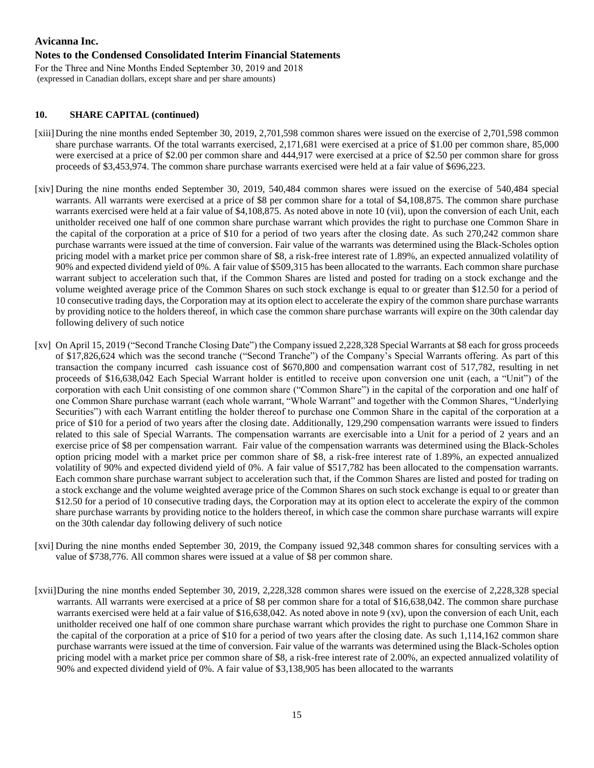## **Notes to the Condensed Consolidated Interim Financial Statements**

For the Three and Nine Months Ended September 30, 2019 and 2018 (expressed in Canadian dollars, except share and per share amounts)

# **10. SHARE CAPITAL (continued)**

- [xiii] During the nine months ended September 30, 2019, 2,701,598 common shares were issued on the exercise of 2,701,598 common share purchase warrants. Of the total warrants exercised, 2,171,681 were exercised at a price of \$1.00 per common share, 85,000 were exercised at a price of \$2.00 per common share and 444,917 were exercised at a price of \$2.50 per common share for gross proceeds of \$3,453,974. The common share purchase warrants exercised were held at a fair value of \$696,223.
- [xiv] During the nine months ended September 30, 2019, 540,484 common shares were issued on the exercise of 540,484 special warrants. All warrants were exercised at a price of \$8 per common share for a total of \$4,108,875. The common share purchase warrants exercised were held at a fair value of \$4,108,875. As noted above in note 10 (vii), upon the conversion of each Unit, each unitholder received one half of one common share purchase warrant which provides the right to purchase one Common Share in the capital of the corporation at a price of \$10 for a period of two years after the closing date. As such 270,242 common share purchase warrants were issued at the time of conversion. Fair value of the warrants was determined using the Black-Scholes option pricing model with a market price per common share of \$8, a risk-free interest rate of 1.89%, an expected annualized volatility of 90% and expected dividend yield of 0%. A fair value of \$509,315 has been allocated to the warrants. Each common share purchase warrant subject to acceleration such that, if the Common Shares are listed and posted for trading on a stock exchange and the volume weighted average price of the Common Shares on such stock exchange is equal to or greater than \$12.50 for a period of 10 consecutive trading days, the Corporation may at its option elect to accelerate the expiry of the common share purchase warrants by providing notice to the holders thereof, in which case the common share purchase warrants will expire on the 30th calendar day following delivery of such notice
- [xv] On April 15, 2019 ("Second Tranche Closing Date") the Company issued 2,228,328 Special Warrants at \$8 each for gross proceeds of \$17,826,624 which was the second tranche ("Second Tranche") of the Company's Special Warrants offering. As part of this transaction the company incurred cash issuance cost of \$670,800 and compensation warrant cost of 517,782, resulting in net proceeds of \$16,638,042 Each Special Warrant holder is entitled to receive upon conversion one unit (each, a "Unit") of the corporation with each Unit consisting of one common share ("Common Share") in the capital of the corporation and one half of one Common Share purchase warrant (each whole warrant, "Whole Warrant" and together with the Common Shares, "Underlying Securities") with each Warrant entitling the holder thereof to purchase one Common Share in the capital of the corporation at a price of \$10 for a period of two years after the closing date. Additionally, 129,290 compensation warrants were issued to finders related to this sale of Special Warrants. The compensation warrants are exercisable into a Unit for a period of 2 years and an exercise price of \$8 per compensation warrant. Fair value of the compensation warrants was determined using the Black-Scholes option pricing model with a market price per common share of \$8, a risk-free interest rate of 1.89%, an expected annualized volatility of 90% and expected dividend yield of 0%. A fair value of \$517,782 has been allocated to the compensation warrants. Each common share purchase warrant subject to acceleration such that, if the Common Shares are listed and posted for trading on a stock exchange and the volume weighted average price of the Common Shares on such stock exchange is equal to or greater than \$12.50 for a period of 10 consecutive trading days, the Corporation may at its option elect to accelerate the expiry of the common share purchase warrants by providing notice to the holders thereof, in which case the common share purchase warrants will expire on the 30th calendar day following delivery of such notice
- [xvi] During the nine months ended September 30, 2019, the Company issued 92,348 common shares for consulting services with a value of \$738,776. All common shares were issued at a value of \$8 per common share.
- [xvii]During the nine months ended September 30, 2019, 2,228,328 common shares were issued on the exercise of 2,228,328 special warrants. All warrants were exercised at a price of \$8 per common share for a total of \$16,638,042. The common share purchase warrants exercised were held at a fair value of \$16,638,042. As noted above in note 9 (xv), upon the conversion of each Unit, each unitholder received one half of one common share purchase warrant which provides the right to purchase one Common Share in the capital of the corporation at a price of \$10 for a period of two years after the closing date. As such 1,114,162 common share purchase warrants were issued at the time of conversion. Fair value of the warrants was determined using the Black-Scholes option pricing model with a market price per common share of \$8, a risk-free interest rate of 2.00%, an expected annualized volatility of 90% and expected dividend yield of 0%. A fair value of \$3,138,905 has been allocated to the warrants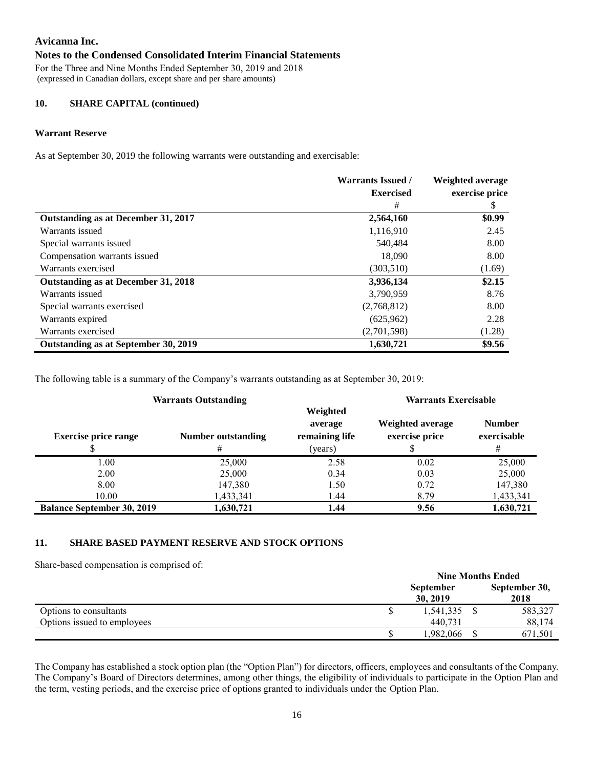## **Notes to the Condensed Consolidated Interim Financial Statements**

For the Three and Nine Months Ended September 30, 2019 and 2018 (expressed in Canadian dollars, except share and per share amounts)

#### **10. SHARE CAPITAL (continued)**

#### **Warrant Reserve**

As at September 30, 2019 the following warrants were outstanding and exercisable:

|                                      | <b>Warrants Issued /</b> | Weighted average |
|--------------------------------------|--------------------------|------------------|
|                                      | <b>Exercised</b>         | exercise price   |
|                                      | #                        | \$               |
| Outstanding as at December 31, 2017  | 2,564,160                | \$0.99           |
| Warrants issued                      | 1,116,910                | 2.45             |
| Special warrants issued              | 540.484                  | 8.00             |
| Compensation warrants issued         | 18,090                   | 8.00             |
| Warrants exercised                   | (303, 510)               | (1.69)           |
| Outstanding as at December 31, 2018  | 3,936,134                | \$2.15           |
| Warrants issued                      | 3,790,959                | 8.76             |
| Special warrants exercised           | (2,768,812)              | 8.00             |
| Warrants expired                     | (625,962)                | 2.28             |
| Warrants exercised                   | (2,701,598)              | (1.28)           |
| Outstanding as at September 30, 2019 | 1,630,721                | \$9.56           |

The following table is a summary of the Company's warrants outstanding as at September 30, 2019:

| <b>Warrants Outstanding</b>       |                         |                                                  | <b>Warrants Exercisable</b>        |                                   |
|-----------------------------------|-------------------------|--------------------------------------------------|------------------------------------|-----------------------------------|
| <b>Exercise price range</b>       | Number outstanding<br># | Weighted<br>average<br>remaining life<br>(years) | Weighted average<br>exercise price | <b>Number</b><br>exercisable<br># |
| 1.00                              | 25,000                  | 2.58                                             | 0.02                               | 25,000                            |
| 2.00                              | 25,000                  | 0.34                                             | 0.03                               | 25,000                            |
| 8.00                              | 147,380                 | 1.50                                             | 0.72                               | 147,380                           |
| 10.00                             | 1,433,341               | 1.44                                             | 8.79                               | 1,433,341                         |
| <b>Balance September 30, 2019</b> | 1,630,721               | 1.44                                             | 9.56                               | 1,630,721                         |

#### **11. SHARE BASED PAYMENT RESERVE AND STOCK OPTIONS**

Share-based compensation is comprised of:

|                             | <b>Nine Months Ended</b>     |  |                       |
|-----------------------------|------------------------------|--|-----------------------|
|                             | <b>September</b><br>30, 2019 |  | September 30,<br>2018 |
| Options to consultants      | 1,541,335                    |  | 583,327               |
| Options issued to employees | 440.731                      |  | 88,174                |
|                             | .982,066                     |  | 671.501               |

The Company has established a stock option plan (the "Option Plan") for directors, officers, employees and consultants of the Company. The Company's Board of Directors determines, among other things, the eligibility of individuals to participate in the Option Plan and the term, vesting periods, and the exercise price of options granted to individuals under the Option Plan.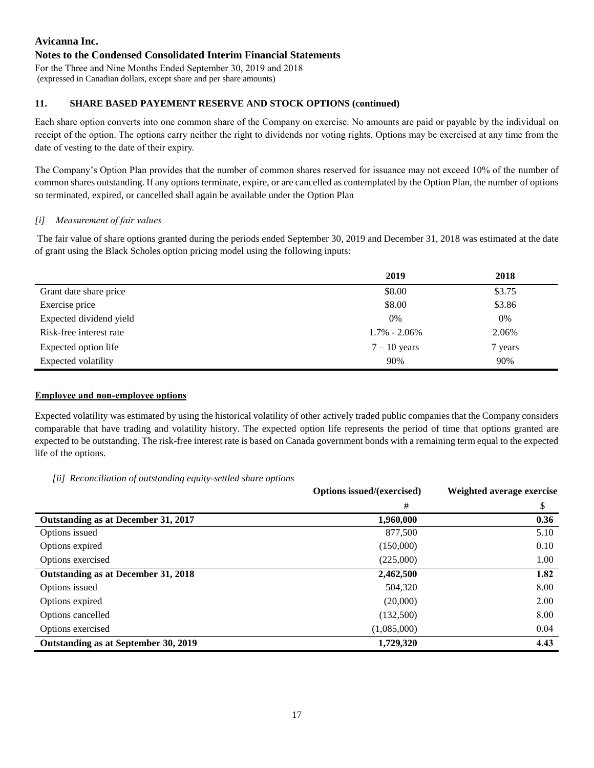## **Notes to the Condensed Consolidated Interim Financial Statements**

For the Three and Nine Months Ended September 30, 2019 and 2018 (expressed in Canadian dollars, except share and per share amounts)

## **11. SHARE BASED PAYEMENT RESERVE AND STOCK OPTIONS (continued)**

Each share option converts into one common share of the Company on exercise. No amounts are paid or payable by the individual on receipt of the option. The options carry neither the right to dividends nor voting rights. Options may be exercised at any time from the date of vesting to the date of their expiry.

The Company's Option Plan provides that the number of common shares reserved for issuance may not exceed 10% of the number of common shares outstanding. If any options terminate, expire, or are cancelled as contemplated by the Option Plan, the number of options so terminated, expired, or cancelled shall again be available under the Option Plan

## *[i] Measurement of fair values*

The fair value of share options granted during the periods ended September 30, 2019 and December 31, 2018 was estimated at the date of grant using the Black Scholes option pricing model using the following inputs:

|                         | 2019             | 2018    |
|-------------------------|------------------|---------|
| Grant date share price  | \$8.00           | \$3.75  |
| Exercise price          | \$8.00           | \$3.86  |
| Expected dividend yield | 0%               | 0%      |
| Risk-free interest rate | $1.7\% - 2.06\%$ | 2.06%   |
| Expected option life    | $7 - 10$ years   | 7 years |
| Expected volatility     | 90%              | 90%     |

## **Employee and non-employee options**

Expected volatility was estimated by using the historical volatility of other actively traded public companies that the Company considers comparable that have trading and volatility history. The expected option life represents the period of time that options granted are expected to be outstanding. The risk-free interest rate is based on Canada government bonds with a remaining term equal to the expected life of the options.

*[ii] Reconciliation of outstanding equity-settled share options*

|                                      | Options issued/(exercised) | Weighted average exercise |
|--------------------------------------|----------------------------|---------------------------|
|                                      | #                          | \$                        |
| Outstanding as at December 31, 2017  | 1,960,000                  | 0.36                      |
| Options issued                       | 877,500                    | 5.10                      |
| Options expired                      | (150,000)                  | 0.10                      |
| Options exercised                    | (225,000)                  | 1.00                      |
| Outstanding as at December 31, 2018  | 2,462,500                  | 1.82                      |
| Options issued                       | 504,320                    | 8.00                      |
| Options expired                      | (20,000)                   | 2.00                      |
| Options cancelled                    | (132,500)                  | 8.00                      |
| Options exercised                    | (1,085,000)                | 0.04                      |
| Outstanding as at September 30, 2019 | 1,729,320                  | 4.43                      |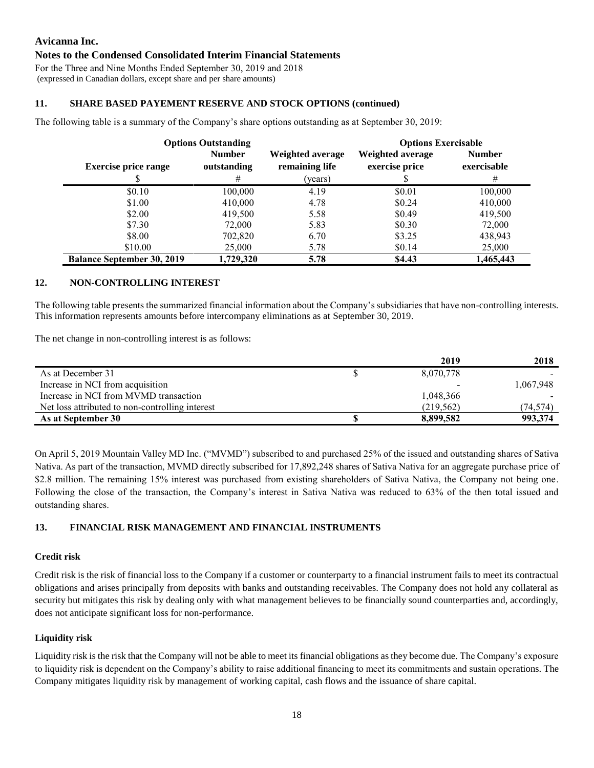## **Notes to the Condensed Consolidated Interim Financial Statements**

For the Three and Nine Months Ended September 30, 2019 and 2018 (expressed in Canadian dollars, except share and per share amounts)

## **11. SHARE BASED PAYEMENT RESERVE AND STOCK OPTIONS (continued)**

The following table is a summary of the Company's share options outstanding as at September 30, 2019:

| <b>Options Outstanding</b>        |               |                  | <b>Options Exercisable</b> |               |
|-----------------------------------|---------------|------------------|----------------------------|---------------|
|                                   | <b>Number</b> | Weighted average | Weighted average           | <b>Number</b> |
| <b>Exercise price range</b>       | outstanding   | remaining life   | exercise price             | exercisable   |
|                                   | #             | (years)          |                            | #             |
| \$0.10                            | 100,000       | 4.19             | \$0.01                     | 100,000       |
| \$1.00                            | 410,000       | 4.78             | \$0.24                     | 410,000       |
| \$2.00                            | 419,500       | 5.58             | \$0.49                     | 419,500       |
| \$7.30                            | 72,000        | 5.83             | \$0.30                     | 72,000        |
| \$8.00                            | 702,820       | 6.70             | \$3.25                     | 438,943       |
| \$10.00                           | 25,000        | 5.78             | \$0.14                     | 25,000        |
| <b>Balance September 30, 2019</b> | 1,729,320     | 5.78             | \$4.43                     | 1,465,443     |

## **12. NON-CONTROLLING INTEREST**

The following table presents the summarized financial information about the Company's subsidiaries that have non-controlling interests. This information represents amounts before intercompany eliminations as at September 30, 2019.

The net change in non-controlling interest is as follows:

|                                                 | 2019       | 2018      |
|-------------------------------------------------|------------|-----------|
| As at December 31                               | 8,070,778  |           |
| Increase in NCI from acquisition                |            | 1,067,948 |
| Increase in NCI from MVMD transaction           | 1,048,366  |           |
| Net loss attributed to non-controlling interest | (219, 562) | (74,574)  |
| As at September 30                              | 8,899,582  | 993,374   |

On April 5, 2019 Mountain Valley MD Inc. ("MVMD") subscribed to and purchased 25% of the issued and outstanding shares of Sativa Nativa. As part of the transaction, MVMD directly subscribed for 17,892,248 shares of Sativa Nativa for an aggregate purchase price of \$2.8 million. The remaining 15% interest was purchased from existing shareholders of Sativa Nativa, the Company not being one. Following the close of the transaction, the Company's interest in Sativa Nativa was reduced to 63% of the then total issued and outstanding shares.

# **13. FINANCIAL RISK MANAGEMENT AND FINANCIAL INSTRUMENTS**

#### **Credit risk**

Credit risk is the risk of financial loss to the Company if a customer or counterparty to a financial instrument fails to meet its contractual obligations and arises principally from deposits with banks and outstanding receivables. The Company does not hold any collateral as security but mitigates this risk by dealing only with what management believes to be financially sound counterparties and, accordingly, does not anticipate significant loss for non-performance.

#### **Liquidity risk**

Liquidity risk is the risk that the Company will not be able to meet its financial obligations as they become due. The Company's exposure to liquidity risk is dependent on the Company's ability to raise additional financing to meet its commitments and sustain operations. The Company mitigates liquidity risk by management of working capital, cash flows and the issuance of share capital.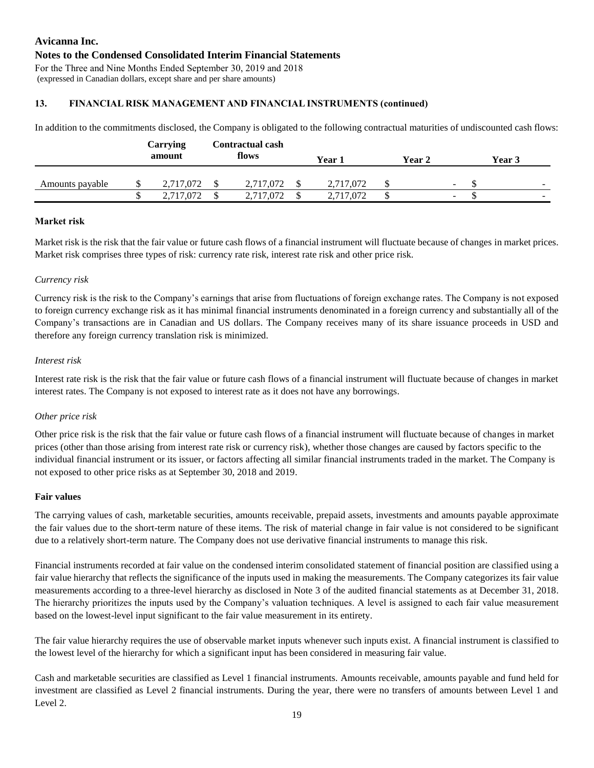# **Avicanna Inc. Notes to the Condensed Consolidated Interim Financial Statements** For the Three and Nine Months Ended September 30, 2019 and 2018

(expressed in Canadian dollars, except share and per share amounts)

# **13. FINANCIAL RISK MANAGEMENT AND FINANCIAL INSTRUMENTS (continued)**

In addition to the commitments disclosed, the Company is obligated to the following contractual maturities of undiscounted cash flows:

|                 | Carrying<br>amount | <b>Contractual cash</b><br>flows | Year 1    | Year 2                   | Year 3                   |
|-----------------|--------------------|----------------------------------|-----------|--------------------------|--------------------------|
| Amounts payable | 2,717,072          | 2,717,072                        | 2,717,072 | $\sim$                   | $\overline{\phantom{0}}$ |
|                 | 2,717,072          | 2,717,072                        | 2,717,072 | $\overline{\phantom{a}}$ | $\sim$                   |

## **Market risk**

Market risk is the risk that the fair value or future cash flows of a financial instrument will fluctuate because of changes in market prices. Market risk comprises three types of risk: currency rate risk, interest rate risk and other price risk.

## *Currency risk*

Currency risk is the risk to the Company's earnings that arise from fluctuations of foreign exchange rates. The Company is not exposed to foreign currency exchange risk as it has minimal financial instruments denominated in a foreign currency and substantially all of the Company's transactions are in Canadian and US dollars. The Company receives many of its share issuance proceeds in USD and therefore any foreign currency translation risk is minimized.

## *Interest risk*

Interest rate risk is the risk that the fair value or future cash flows of a financial instrument will fluctuate because of changes in market interest rates. The Company is not exposed to interest rate as it does not have any borrowings.

# *Other price risk*

Other price risk is the risk that the fair value or future cash flows of a financial instrument will fluctuate because of changes in market prices (other than those arising from interest rate risk or currency risk), whether those changes are caused by factors specific to the individual financial instrument or its issuer, or factors affecting all similar financial instruments traded in the market. The Company is not exposed to other price risks as at September 30, 2018 and 2019.

#### **Fair values**

The carrying values of cash, marketable securities, amounts receivable, prepaid assets, investments and amounts payable approximate the fair values due to the short-term nature of these items. The risk of material change in fair value is not considered to be significant due to a relatively short-term nature. The Company does not use derivative financial instruments to manage this risk.

Financial instruments recorded at fair value on the condensed interim consolidated statement of financial position are classified using a fair value hierarchy that reflects the significance of the inputs used in making the measurements. The Company categorizes its fair value measurements according to a three-level hierarchy as disclosed in Note 3 of the audited financial statements as at December 31, 2018. The hierarchy prioritizes the inputs used by the Company's valuation techniques. A level is assigned to each fair value measurement based on the lowest-level input significant to the fair value measurement in its entirety.

The fair value hierarchy requires the use of observable market inputs whenever such inputs exist. A financial instrument is classified to the lowest level of the hierarchy for which a significant input has been considered in measuring fair value.

Cash and marketable securities are classified as Level 1 financial instruments. Amounts receivable, amounts payable and fund held for investment are classified as Level 2 financial instruments. During the year, there were no transfers of amounts between Level 1 and Level 2.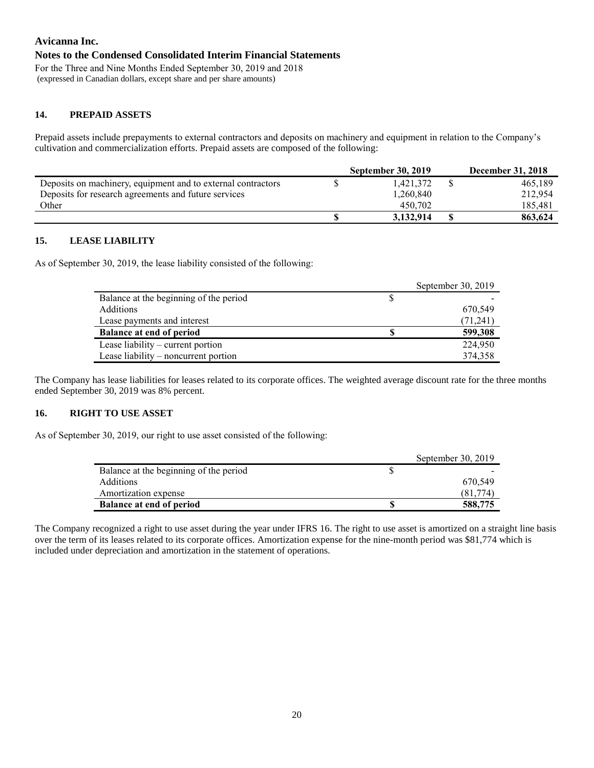## **Notes to the Condensed Consolidated Interim Financial Statements**

For the Three and Nine Months Ended September 30, 2019 and 2018 (expressed in Canadian dollars, except share and per share amounts)

# **14. PREPAID ASSETS**

Prepaid assets include prepayments to external contractors and deposits on machinery and equipment in relation to the Company's cultivation and commercialization efforts. Prepaid assets are composed of the following:

|                                                              | <b>September 30, 2019</b> | <b>December 31, 2018</b> |
|--------------------------------------------------------------|---------------------------|--------------------------|
| Deposits on machinery, equipment and to external contractors | 1.421.372                 | 465.189                  |
| Deposits for research agreements and future services         | 1,260,840                 | 212.954                  |
| Other                                                        | 450.702                   | 185.481                  |
|                                                              | 3,132,914                 | 863.624                  |

## **15. LEASE LIABILITY**

As of September 30, 2019, the lease liability consisted of the following:

|                                        |   | September 30, 2019 |
|----------------------------------------|---|--------------------|
| Balance at the beginning of the period | S |                    |
| <b>Additions</b>                       |   | 670,549            |
| Lease payments and interest            |   | (71,241)           |
| <b>Balance at end of period</b>        |   | 599,308            |
| Lease liability $-$ current portion    |   | 224,950            |
| Lease liability – noncurrent portion   |   | 374,358            |

The Company has lease liabilities for leases related to its corporate offices. The weighted average discount rate for the three months ended September 30, 2019 was 8% percent.

#### **16. RIGHT TO USE ASSET**

As of September 30, 2019, our right to use asset consisted of the following:

|                                        | September 30, 2019 |
|----------------------------------------|--------------------|
| Balance at the beginning of the period |                    |
| <b>Additions</b>                       | 670.549            |
| Amortization expense                   | (81.774)           |
| <b>Balance at end of period</b>        | 588,775            |

The Company recognized a right to use asset during the year under IFRS 16. The right to use asset is amortized on a straight line basis over the term of its leases related to its corporate offices. Amortization expense for the nine-month period was \$81,774 which is included under depreciation and amortization in the statement of operations.